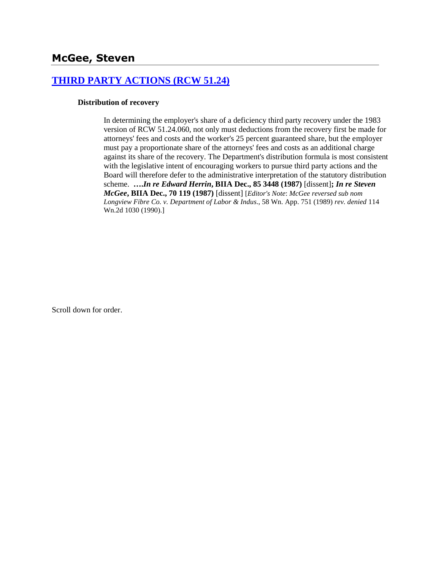## **[THIRD PARTY ACTIONS \(RCW 51.24\)](http://www.biia.wa.gov/SDSubjectIndex.html#THIRD_PARTY_ACTIONS)**

#### **Distribution of recovery**

In determining the employer's share of a deficiency third party recovery under the 1983 version of RCW 51.24.060, not only must deductions from the recovery first be made for attorneys' fees and costs and the worker's 25 percent guaranteed share, but the employer must pay a proportionate share of the attorneys' fees and costs as an additional charge against its share of the recovery. The Department's distribution formula is most consistent with the legislative intent of encouraging workers to pursue third party actions and the Board will therefore defer to the administrative interpretation of the statutory distribution scheme. **….***In re Edward Herrin***, BIIA Dec., 85 3448 (1987)** [dissent]**;** *In re Steven McGee***, BIIA Dec., 70 119 (1987)** [dissent] [*Editor's Note*: *McGee reversed sub nom Longview Fibre Co. v. Department of Labor & Indus*., 58 Wn. App. 751 (1989) *rev. denied* 114 Wn.2d 1030 (1990).]

Scroll down for order.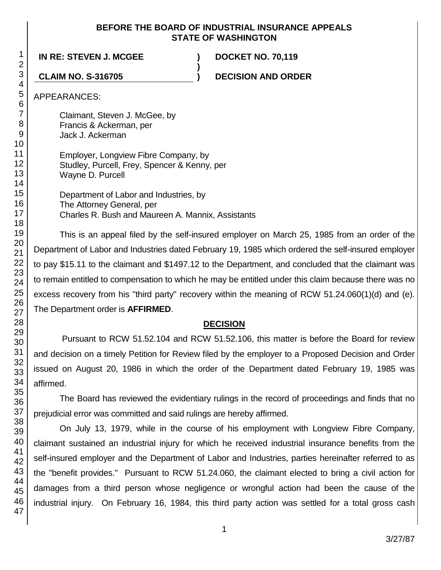#### **BEFORE THE BOARD OF INDUSTRIAL INSURANCE APPEALS STATE OF WASHINGTON**

**)**

**IN RE: STEVEN J. MCGEE ) DOCKET NO. 70,119**

**CLAIM NO. S-316705 ) DECISION AND ORDER**

APPEARANCES:

Claimant, Steven J. McGee, by Francis & Ackerman, per Jack J. Ackerman

Employer, Longview Fibre Company, by Studley, Purcell, Frey, Spencer & Kenny, per Wayne D. Purcell

Department of Labor and Industries, by The Attorney General, per Charles R. Bush and Maureen A. Mannix, Assistants

This is an appeal filed by the self-insured employer on March 25, 1985 from an order of the Department of Labor and Industries dated February 19, 1985 which ordered the self-insured employer to pay \$15.11 to the claimant and \$1497.12 to the Department, and concluded that the claimant was to remain entitled to compensation to which he may be entitled under this claim because there was no excess recovery from his "third party" recovery within the meaning of RCW 51.24.060(1)(d) and (e). The Department order is **AFFIRMED**.

# **DECISION**

Pursuant to RCW 51.52.104 and RCW 51.52.106, this matter is before the Board for review and decision on a timely Petition for Review filed by the employer to a Proposed Decision and Order issued on August 20, 1986 in which the order of the Department dated February 19, 1985 was affirmed.

The Board has reviewed the evidentiary rulings in the record of proceedings and finds that no prejudicial error was committed and said rulings are hereby affirmed.

On July 13, 1979, while in the course of his employment with Longview Fibre Company, claimant sustained an industrial injury for which he received industrial insurance benefits from the self-insured employer and the Department of Labor and Industries, parties hereinafter referred to as the "benefit provides." Pursuant to RCW 51.24.060, the claimant elected to bring a civil action for damages from a third person whose negligence or wrongful action had been the cause of the industrial injury. On February 16, 1984, this third party action was settled for a total gross cash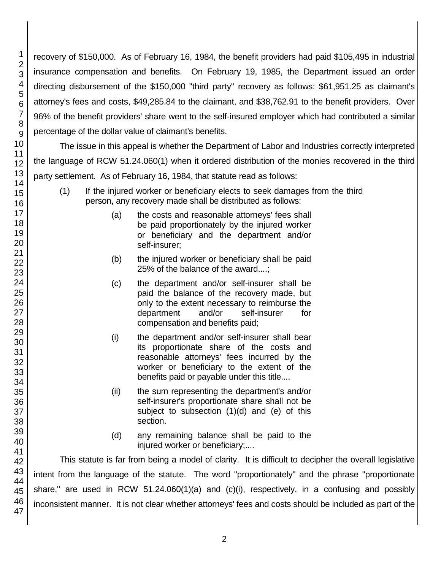recovery of \$150,000. As of February 16, 1984, the benefit providers had paid \$105,495 in industrial insurance compensation and benefits. On February 19, 1985, the Department issued an order directing disbursement of the \$150,000 "third party" recovery as follows: \$61,951.25 as claimant's attorney's fees and costs, \$49,285.84 to the claimant, and \$38,762.91 to the benefit providers. Over 96% of the benefit providers' share went to the self-insured employer which had contributed a similar percentage of the dollar value of claimant's benefits.

The issue in this appeal is whether the Department of Labor and Industries correctly interpreted the language of RCW 51.24.060(1) when it ordered distribution of the monies recovered in the third party settlement. As of February 16, 1984, that statute read as follows:

- (1) If the injured worker or beneficiary elects to seek damages from the third person, any recovery made shall be distributed as follows:
	- (a) the costs and reasonable attorneys' fees shall be paid proportionately by the injured worker or beneficiary and the department and/or self-insurer;
	- (b) the injured worker or beneficiary shall be paid 25% of the balance of the award....;
	- (c) the department and/or self-insurer shall be paid the balance of the recovery made, but only to the extent necessary to reimburse the department and/or self-insurer for compensation and benefits paid;
	- (i) the department and/or self-insurer shall bear its proportionate share of the costs and reasonable attorneys' fees incurred by the worker or beneficiary to the extent of the benefits paid or payable under this title....
	- (ii) the sum representing the department's and/or self-insurer's proportionate share shall not be subject to subsection  $(1)(d)$  and  $(e)$  of this section.
	- (d) any remaining balance shall be paid to the injured worker or beneficiary;....

This statute is far from being a model of clarity. It is difficult to decipher the overall legislative intent from the language of the statute. The word "proportionately" and the phrase "proportionate share," are used in RCW 51.24.060(1)(a) and (c)(i), respectively, in a confusing and possibly inconsistent manner. It is not clear whether attorneys' fees and costs should be included as part of the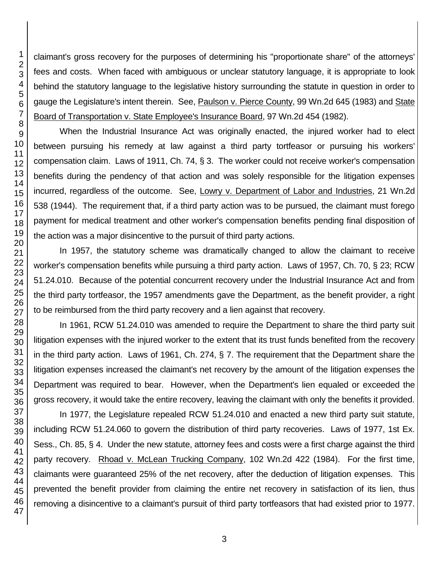claimant's gross recovery for the purposes of determining his "proportionate share" of the attorneys' fees and costs. When faced with ambiguous or unclear statutory language, it is appropriate to look behind the statutory language to the legislative history surrounding the statute in question in order to gauge the Legislature's intent therein. See, Paulson v. Pierce County, 99 Wn.2d 645 (1983) and State Board of Transportation v. State Employee's Insurance Board, 97 Wn.2d 454 (1982).

When the Industrial Insurance Act was originally enacted, the injured worker had to elect between pursuing his remedy at law against a third party tortfeasor or pursuing his workers' compensation claim. Laws of 1911, Ch. 74, § 3. The worker could not receive worker's compensation benefits during the pendency of that action and was solely responsible for the litigation expenses incurred, regardless of the outcome. See, Lowry v. Department of Labor and Industries, 21 Wn.2d 538 (1944). The requirement that, if a third party action was to be pursued, the claimant must forego payment for medical treatment and other worker's compensation benefits pending final disposition of the action was a major disincentive to the pursuit of third party actions.

In 1957, the statutory scheme was dramatically changed to allow the claimant to receive worker's compensation benefits while pursuing a third party action. Laws of 1957, Ch. 70, § 23; RCW 51.24.010. Because of the potential concurrent recovery under the Industrial Insurance Act and from the third party tortfeasor, the 1957 amendments gave the Department, as the benefit provider, a right to be reimbursed from the third party recovery and a lien against that recovery.

In 1961, RCW 51.24.010 was amended to require the Department to share the third party suit litigation expenses with the injured worker to the extent that its trust funds benefited from the recovery in the third party action. Laws of 1961, Ch. 274, § 7. The requirement that the Department share the litigation expenses increased the claimant's net recovery by the amount of the litigation expenses the Department was required to bear. However, when the Department's lien equaled or exceeded the gross recovery, it would take the entire recovery, leaving the claimant with only the benefits it provided.

In 1977, the Legislature repealed RCW 51.24.010 and enacted a new third party suit statute, including RCW 51.24.060 to govern the distribution of third party recoveries. Laws of 1977, 1st Ex. Sess., Ch. 85, § 4. Under the new statute, attorney fees and costs were a first charge against the third party recovery. Rhoad v. McLean Trucking Company, 102 Wn.2d 422 (1984). For the first time, claimants were guaranteed 25% of the net recovery, after the deduction of litigation expenses. This prevented the benefit provider from claiming the entire net recovery in satisfaction of its lien, thus removing a disincentive to a claimant's pursuit of third party tortfeasors that had existed prior to 1977.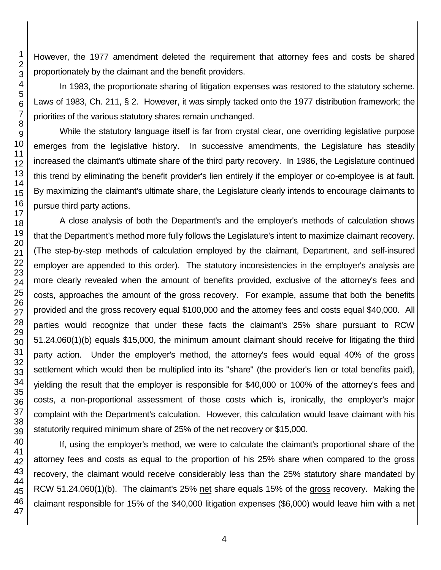However, the 1977 amendment deleted the requirement that attorney fees and costs be shared proportionately by the claimant and the benefit providers.

In 1983, the proportionate sharing of litigation expenses was restored to the statutory scheme. Laws of 1983, Ch. 211, § 2. However, it was simply tacked onto the 1977 distribution framework; the priorities of the various statutory shares remain unchanged.

While the statutory language itself is far from crystal clear, one overriding legislative purpose emerges from the legislative history. In successive amendments, the Legislature has steadily increased the claimant's ultimate share of the third party recovery. In 1986, the Legislature continued this trend by eliminating the benefit provider's lien entirely if the employer or co-employee is at fault. By maximizing the claimant's ultimate share, the Legislature clearly intends to encourage claimants to pursue third party actions.

A close analysis of both the Department's and the employer's methods of calculation shows that the Department's method more fully follows the Legislature's intent to maximize claimant recovery. (The step-by-step methods of calculation employed by the claimant, Department, and self-insured employer are appended to this order). The statutory inconsistencies in the employer's analysis are more clearly revealed when the amount of benefits provided, exclusive of the attorney's fees and costs, approaches the amount of the gross recovery. For example, assume that both the benefits provided and the gross recovery equal \$100,000 and the attorney fees and costs equal \$40,000. All parties would recognize that under these facts the claimant's 25% share pursuant to RCW 51.24.060(1)(b) equals \$15,000, the minimum amount claimant should receive for litigating the third party action. Under the employer's method, the attorney's fees would equal 40% of the gross settlement which would then be multiplied into its "share" (the provider's lien or total benefits paid), yielding the result that the employer is responsible for \$40,000 or 100% of the attorney's fees and costs, a non-proportional assessment of those costs which is, ironically, the employer's major complaint with the Department's calculation. However, this calculation would leave claimant with his statutorily required minimum share of 25% of the net recovery or \$15,000.

If, using the employer's method, we were to calculate the claimant's proportional share of the attorney fees and costs as equal to the proportion of his 25% share when compared to the gross recovery, the claimant would receive considerably less than the 25% statutory share mandated by RCW 51.24.060(1)(b). The claimant's 25% net share equals 15% of the gross recovery. Making the claimant responsible for 15% of the \$40,000 litigation expenses (\$6,000) would leave him with a net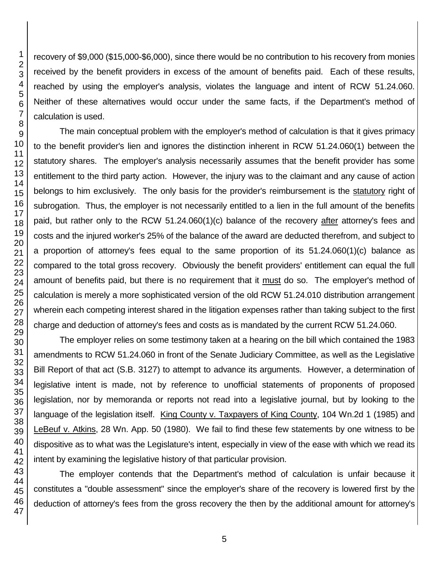recovery of \$9,000 (\$15,000-\$6,000), since there would be no contribution to his recovery from monies received by the benefit providers in excess of the amount of benefits paid. Each of these results, reached by using the employer's analysis, violates the language and intent of RCW 51.24.060. Neither of these alternatives would occur under the same facts, if the Department's method of calculation is used.

The main conceptual problem with the employer's method of calculation is that it gives primacy to the benefit provider's lien and ignores the distinction inherent in RCW 51.24.060(1) between the statutory shares. The employer's analysis necessarily assumes that the benefit provider has some entitlement to the third party action. However, the injury was to the claimant and any cause of action belongs to him exclusively. The only basis for the provider's reimbursement is the statutory right of subrogation. Thus, the employer is not necessarily entitled to a lien in the full amount of the benefits paid, but rather only to the RCW 51.24.060(1)(c) balance of the recovery after attorney's fees and costs and the injured worker's 25% of the balance of the award are deducted therefrom, and subject to a proportion of attorney's fees equal to the same proportion of its 51.24.060(1)(c) balance as compared to the total gross recovery. Obviously the benefit providers' entitlement can equal the full amount of benefits paid, but there is no requirement that it must do so. The employer's method of calculation is merely a more sophisticated version of the old RCW 51.24.010 distribution arrangement wherein each competing interest shared in the litigation expenses rather than taking subject to the first charge and deduction of attorney's fees and costs as is mandated by the current RCW 51.24.060.

The employer relies on some testimony taken at a hearing on the bill which contained the 1983 amendments to RCW 51.24.060 in front of the Senate Judiciary Committee, as well as the Legislative Bill Report of that act (S.B. 3127) to attempt to advance its arguments. However, a determination of legislative intent is made, not by reference to unofficial statements of proponents of proposed legislation, nor by memoranda or reports not read into a legislative journal, but by looking to the language of the legislation itself. King County v. Taxpayers of King County, 104 Wn.2d 1 (1985) and LeBeuf v. Atkins, 28 Wn. App. 50 (1980). We fail to find these few statements by one witness to be dispositive as to what was the Legislature's intent, especially in view of the ease with which we read its intent by examining the legislative history of that particular provision.

The employer contends that the Department's method of calculation is unfair because it constitutes a "double assessment" since the employer's share of the recovery is lowered first by the deduction of attorney's fees from the gross recovery the then by the additional amount for attorney's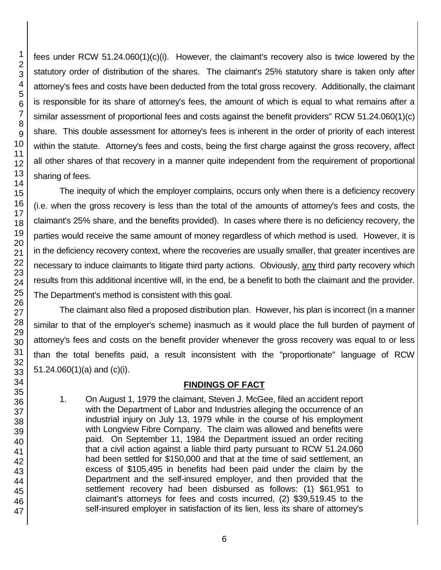fees under RCW 51.24.060(1)(c)(i). However, the claimant's recovery also is twice lowered by the statutory order of distribution of the shares. The claimant's 25% statutory share is taken only after attorney's fees and costs have been deducted from the total gross recovery. Additionally, the claimant is responsible for its share of attorney's fees, the amount of which is equal to what remains after a similar assessment of proportional fees and costs against the benefit providers" RCW 51.24.060(1)(c) share. This double assessment for attorney's fees is inherent in the order of priority of each interest within the statute. Attorney's fees and costs, being the first charge against the gross recovery, affect all other shares of that recovery in a manner quite independent from the requirement of proportional sharing of fees.

The inequity of which the employer complains, occurs only when there is a deficiency recovery (i.e. when the gross recovery is less than the total of the amounts of attorney's fees and costs, the claimant's 25% share, and the benefits provided). In cases where there is no deficiency recovery, the parties would receive the same amount of money regardless of which method is used. However, it is in the deficiency recovery context, where the recoveries are usually smaller, that greater incentives are necessary to induce claimants to litigate third party actions. Obviously, any third party recovery which results from this additional incentive will, in the end, be a benefit to both the claimant and the provider. The Department's method is consistent with this goal.

The claimant also filed a proposed distribution plan. However, his plan is incorrect (in a manner similar to that of the employer's scheme) inasmuch as it would place the full burden of payment of attorney's fees and costs on the benefit provider whenever the gross recovery was equal to or less than the total benefits paid, a result inconsistent with the "proportionate" language of RCW 51.24.060(1)(a) and (c)(i).

### **FINDINGS OF FACT**

1. On August 1, 1979 the claimant, Steven J. McGee, filed an accident report with the Department of Labor and Industries alleging the occurrence of an industrial injury on July 13, 1979 while in the course of his employment with Longview Fibre Company. The claim was allowed and benefits were paid. On September 11, 1984 the Department issued an order reciting that a civil action against a liable third party pursuant to RCW 51.24.060 had been settled for \$150,000 and that at the time of said settlement, an excess of \$105,495 in benefits had been paid under the claim by the Department and the self-insured employer, and then provided that the settlement recovery had been disbursed as follows: (1) \$61,951 to claimant's attorneys for fees and costs incurred, (2) \$39,519.45 to the self-insured employer in satisfaction of its lien, less its share of attorney's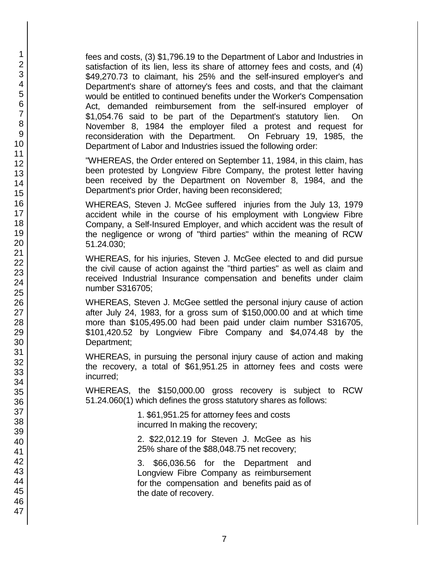fees and costs, (3) \$1,796.19 to the Department of Labor and Industries in satisfaction of its lien, less its share of attorney fees and costs, and (4) \$49,270.73 to claimant, his 25% and the self-insured employer's and Department's share of attorney's fees and costs, and that the claimant would be entitled to continued benefits under the Worker's Compensation Act, demanded reimbursement from the self-insured employer of \$1,054.76 said to be part of the Department's statutory lien. On November 8, 1984 the employer filed a protest and request for reconsideration with the Department. On February 19, 1985, the Department of Labor and Industries issued the following order:

"WHEREAS, the Order entered on September 11, 1984, in this claim, has been protested by Longview Fibre Company, the protest letter having been received by the Department on November 8, 1984, and the Department's prior Order, having been reconsidered;

WHEREAS, Steven J. McGee suffered injuries from the July 13, 1979 accident while in the course of his employment with Longview Fibre Company, a Self-Insured Employer, and which accident was the result of the negligence or wrong of "third parties" within the meaning of RCW 51.24.030;

WHEREAS, for his injuries, Steven J. McGee elected to and did pursue the civil cause of action against the "third parties" as well as claim and received Industrial Insurance compensation and benefits under claim number S316705;

WHEREAS, Steven J. McGee settled the personal injury cause of action after July 24, 1983, for a gross sum of \$150,000.00 and at which time more than \$105,495.00 had been paid under claim number S316705, \$101,420.52 by Longview Fibre Company and \$4,074.48 by the Department;

WHEREAS, in pursuing the personal injury cause of action and making the recovery, a total of \$61,951.25 in attorney fees and costs were incurred;

WHEREAS, the \$150,000.00 gross recovery is subject to RCW 51.24.060(1) which defines the gross statutory shares as follows:

> 1. \$61,951.25 for attorney fees and costs incurred In making the recovery;

2. \$22,012.19 for Steven J. McGee as his 25% share of the \$88,048.75 net recovery;

3. \$66,036.56 for the Department and Longview Fibre Company as reimbursement for the compensation and benefits paid as of the date of recovery.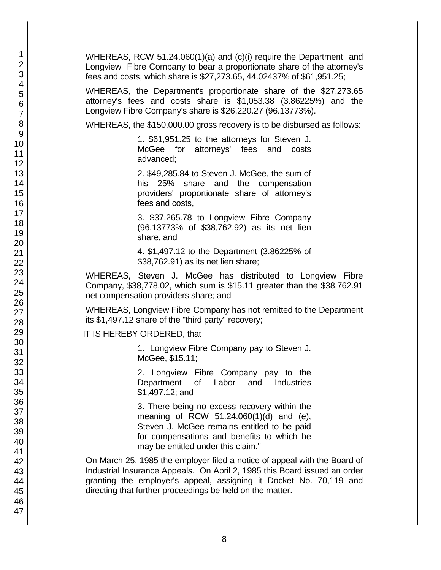WHEREAS, RCW 51.24.060(1)(a) and (c)(i) require the Department and Longview Fibre Company to bear a proportionate share of the attorney's fees and costs, which share is \$27,273.65, 44.02437% of \$61,951.25;

WHEREAS, the Department's proportionate share of the \$27,273.65 attorney's fees and costs share is \$1,053.38 (3.86225%) and the Longview Fibre Company's share is \$26,220.27 (96.13773%).

WHEREAS, the \$150,000.00 gross recovery is to be disbursed as follows:

1. \$61,951.25 to the attorneys for Steven J. McGee for attorneys' fees and costs advanced;

2. \$49,285.84 to Steven J. McGee, the sum of his 25% share and the compensation providers' proportionate share of attorney's fees and costs,

3. \$37,265.78 to Longview Fibre Company (96.13773% of \$38,762.92) as its net lien share, and

4. \$1,497.12 to the Department (3.86225% of \$38,762.91) as its net lien share;

WHEREAS, Steven J. McGee has distributed to Longview Fibre Company, \$38,778.02, which sum is \$15.11 greater than the \$38,762.91 net compensation providers share; and

WHEREAS, Longview Fibre Company has not remitted to the Department its \$1,497.12 share of the "third party" recovery;

IT IS HEREBY ORDERED, that

1. Longview Fibre Company pay to Steven J. McGee, \$15.11;

2. Longview Fibre Company pay to the Department of Labor and Industries \$1,497.12; and

3. There being no excess recovery within the meaning of RCW 51.24.060(1)(d) and (e), Steven J. McGee remains entitled to be paid for compensations and benefits to which he may be entitled under this claim."

On March 25, 1985 the employer filed a notice of appeal with the Board of Industrial Insurance Appeals. On April 2, 1985 this Board issued an order granting the employer's appeal, assigning it Docket No. 70,119 and directing that further proceedings be held on the matter.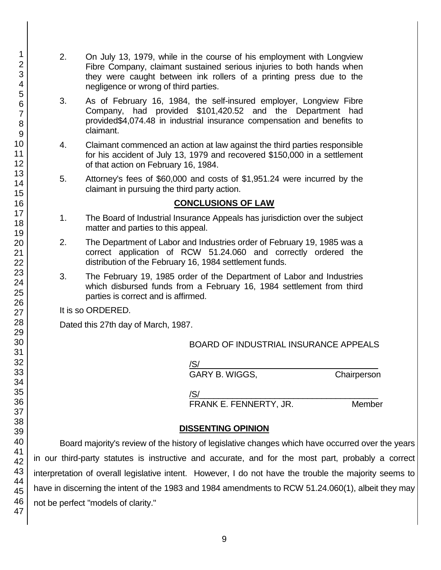- 2. On July 13, 1979, while in the course of his employment with Longview Fibre Company, claimant sustained serious injuries to both hands when they were caught between ink rollers of a printing press due to the negligence or wrong of third parties.
- 3. As of February 16, 1984, the self-insured employer, Longview Fibre Company, had provided \$101,420.52 and the Department had provided\$4,074.48 in industrial insurance compensation and benefits to claimant.
- 4. Claimant commenced an action at law against the third parties responsible for his accident of July 13, 1979 and recovered \$150,000 in a settlement of that action on February 16, 1984.
- 5. Attorney's fees of \$60,000 and costs of \$1,951.24 were incurred by the claimant in pursuing the third party action.

### **CONCLUSIONS OF LAW**

- 1. The Board of Industrial Insurance Appeals has jurisdiction over the subject matter and parties to this appeal.
- 2. The Department of Labor and Industries order of February 19, 1985 was a correct application of RCW 51.24.060 and correctly ordered the distribution of the February 16, 1984 settlement funds.
- 3. The February 19, 1985 order of the Department of Labor and Industries which disbursed funds from a February 16, 1984 settlement from third parties is correct and is affirmed.

It is so ORDERED.

Dated this 27th day of March, 1987.

BOARD OF INDUSTRIAL INSURANCE APPEALS

/S/\_\_\_\_\_\_\_\_\_\_\_\_\_\_\_\_\_\_\_\_\_\_\_\_\_\_\_\_\_\_\_\_\_\_\_\_\_\_

GARY B. WIGGS, Chairperson

 $\sqrt{\text{S}}/\text{S}$ 

FRANK E. FENNERTY, JR. Member

# **DISSENTING OPINION**

Board majority's review of the history of legislative changes which have occurred over the years in our third-party statutes is instructive and accurate, and for the most part, probably a correct interpretation of overall legislative intent. However, I do not have the trouble the majority seems to have in discerning the intent of the 1983 and 1984 amendments to RCW 51.24.060(1), albeit they may not be perfect "models of clarity."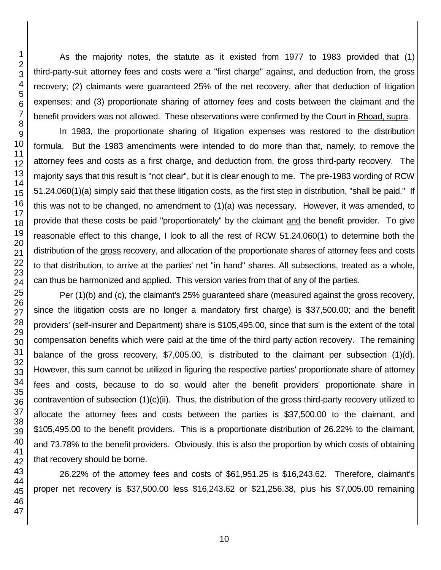As the majority notes, the statute as it existed from 1977 to 1983 provided that (1) third-party-suit attorney fees and costs were a "first charge" against, and deduction from, the gross recovery; (2) claimants were guaranteed 25% of the net recovery, after that deduction of litigation expenses; and (3) proportionate sharing of attorney fees and costs between the claimant and the benefit providers was not allowed. These observations were confirmed by the Court in Rhoad, supra.

In 1983, the proportionate sharing of litigation expenses was restored to the distribution formula. But the 1983 amendments were intended to do more than that, namely, to remove the attorney fees and costs as a first charge, and deduction from, the gross third-party recovery. The majority says that this result is "not clear", but it is clear enough to me. The pre-1983 wording of RCW 51.24.060(1)(a) simply said that these litigation costs, as the first step in distribution, "shall be paid." If this was not to be changed, no amendment to (1)(a) was necessary. However, it was amended, to provide that these costs be paid "proportionately" by the claimant and the benefit provider. To give reasonable effect to this change, I look to all the rest of RCW 51.24.060(1) to determine both the distribution of the gross recovery, and allocation of the proportionate shares of attorney fees and costs to that distribution, to arrive at the parties' net "in hand" shares. All subsections, treated as a whole, can thus be harmonized and applied. This version varies from that of any of the parties.

Per (1)(b) and (c), the claimant's 25% guaranteed share (measured against the gross recovery, since the litigation costs are no longer a mandatory first charge) is \$37,500.00; and the benefit providers' (self-insurer and Department) share is \$105,495.00, since that sum is the extent of the total compensation benefits which were paid at the time of the third party action recovery. The remaining balance of the gross recovery, \$7,005.00, is distributed to the claimant per subsection (1)(d). However, this sum cannot be utilized in figuring the respective parties' proportionate share of attorney fees and costs, because to do so would alter the benefit providers' proportionate share in contravention of subsection (1)(c)(ii). Thus, the distribution of the gross third-party recovery utilized to allocate the attorney fees and costs between the parties is \$37,500.00 to the claimant, and \$105,495.00 to the benefit providers. This is a proportionate distribution of 26.22% to the claimant, and 73.78% to the benefit providers. Obviously, this is also the proportion by which costs of obtaining that recovery should be borne.

26.22% of the attorney fees and costs of \$61,951.25 is \$16,243.62. Therefore, claimant's proper net recovery is \$37,500.00 less \$16,243.62 or \$21,256.38, plus his \$7,005.00 remaining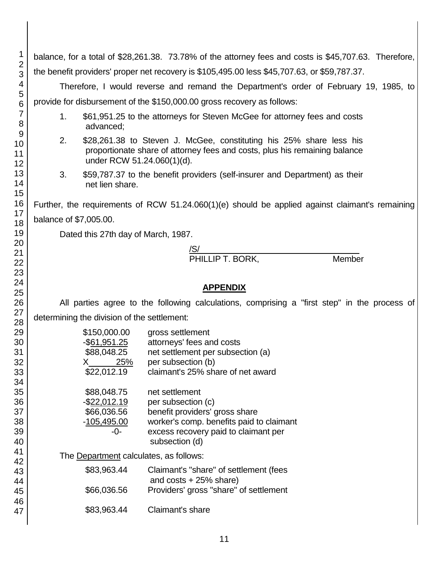balance, for a total of \$28,261.38. 73.78% of the attorney fees and costs is \$45,707.63. Therefore, the benefit providers' proper net recovery is \$105,495.00 less \$45,707.63, or \$59,787.37.

Therefore, I would reverse and remand the Department's order of February 19, 1985, to provide for disbursement of the \$150,000.00 gross recovery as follows:

- 1. \$61,951.25 to the attorneys for Steven McGee for attorney fees and costs advanced;
- 2. \$28,261.38 to Steven J. McGee, constituting his 25% share less his proportionate share of attorney fees and costs, plus his remaining balance under RCW 51.24.060(1)(d).
- 3. \$59,787.37 to the benefit providers (self-insurer and Department) as their net lien share.

Further, the requirements of RCW 51.24.060(1)(e) should be applied against claimant's remaining balance of \$7,005.00.

Dated this 27th day of March, 1987.

#### /S/\_\_\_\_\_\_\_\_\_\_\_\_\_\_\_\_\_\_\_\_\_\_\_\_\_\_\_\_\_\_\_\_\_\_ PHILLIP T. BORK, Member

# **APPENDIX**

All parties agree to the following calculations, comprising a "first step" in the process of determining the division of the settlement:

| \$150,000.00<br>$-$ \$61,951.25<br>\$88,048.25<br>25%<br>X<br>\$22,012.19 | gross settlement<br>attorneys' fees and costs<br>net settlement per subsection (a)<br>per subsection (b)<br>claimant's 25% share of net award                                |
|---------------------------------------------------------------------------|------------------------------------------------------------------------------------------------------------------------------------------------------------------------------|
| \$88,048.75<br>$-$ \$22,012.19<br>\$66,036.56<br>$-105,495.00$<br>-0-     | net settlement<br>per subsection (c)<br>benefit providers' gross share<br>worker's comp. benefits paid to claimant<br>excess recovery paid to claimant per<br>subsection (d) |

The Department calculates, as follows:

| \$83,963.44 | Claimant's "share" of settlement (fees<br>and $costs + 25\%$ share) |
|-------------|---------------------------------------------------------------------|
| \$66,036.56 | Providers' gross "share" of settlement                              |
| \$83,963.44 | Claimant's share                                                    |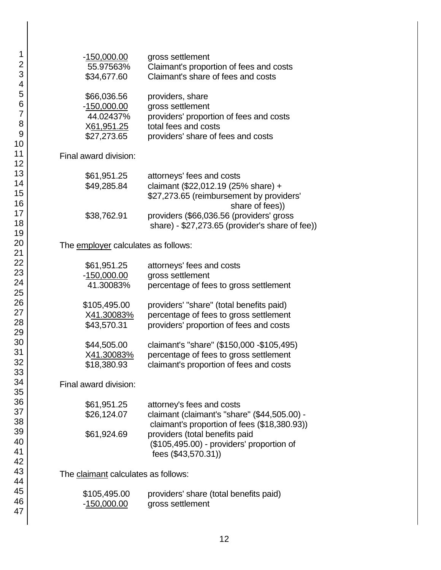| $-150,000.00$<br>55.97563%<br>\$34,677.60                              | gross settlement<br>Claimant's proportion of fees and costs<br>Claimant's share of fees and costs                                             |
|------------------------------------------------------------------------|-----------------------------------------------------------------------------------------------------------------------------------------------|
| \$66,036.56<br>$-150,000.00$<br>44.02437%<br>X61,951.25<br>\$27,273.65 | providers, share<br>gross settlement<br>providers' proportion of fees and costs<br>total fees and costs<br>providers' share of fees and costs |
| Final award division:                                                  |                                                                                                                                               |
| \$61,951.25<br>\$49,285.84                                             | attorneys' fees and costs<br>claimant (\$22,012.19 (25% share) +<br>\$27,273.65 (reimbursement by providers'<br>share of fees))               |
| \$38,762.91                                                            | providers (\$66,036.56 (providers' gross<br>share) - \$27,273.65 (provider's share of fee))                                                   |
| The employer calculates as follows:                                    |                                                                                                                                               |
| \$61,951.25<br>-150,000.00<br>41.30083%                                | attorneys' fees and costs<br>gross settlement<br>percentage of fees to gross settlement                                                       |
| \$105,495.00<br>X41.30083%<br>\$43,570.31                              | providers' "share" (total benefits paid)<br>percentage of fees to gross settlement<br>providers' proportion of fees and costs                 |
| \$44,505.00<br>X41.30083%<br>\$18,380.93                               | claimant's "share" (\$150,000 -\$105,495)<br>percentage of fees to gross settlement<br>claimant's proportion of fees and costs                |
| Final award division:                                                  |                                                                                                                                               |
| \$61,951.25<br>\$26,124.07                                             | attorney's fees and costs<br>claimant (claimant's "share" (\$44,505.00) -<br>claimant's proportion of fees (\$18,380.93))                     |
| \$61,924.69                                                            | providers (total benefits paid<br>(\$105,495.00) - providers' proportion of<br>fees (\$43,570.31))                                            |
| The claimant calculates as follows:                                    |                                                                                                                                               |
| \$105,495.00<br>-150,000.00                                            | providers' share (total benefits paid)<br>gross settlement                                                                                    |